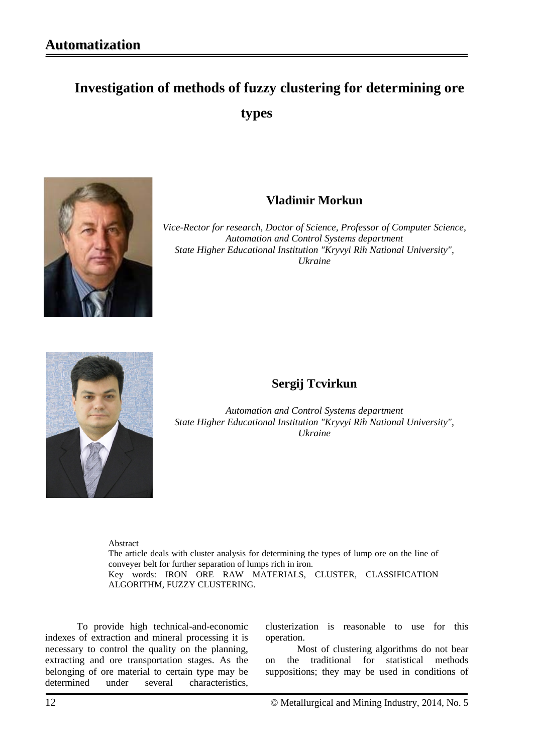# **Investigation of methods of fuzzy clustering for determining ore types**



## **Vladimir Morkun**

*Vice-Rector for research, Doctor of Science, Professor of Computer Science, Automation and Control Systems department State Higher Educational Institution "Kryvyi Rih National University", Ukraine*



# **Sergij Tcvirkun**

*Automation and Control Systems department State Higher Educational Institution "Kryvyi Rih National University", Ukraine*

Abstract

The article deals with cluster analysis for determining the types of lump ore on the line of conveyer belt for further separation of lumps rich in iron. Key words: IRON ORE RAW MATERIALS, CLUSTER, CLASSIFICATION ALGORITHM, FUZZY CLUSTERING.

To provide high technical-and-economic indexes of extraction and mineral processing it is necessary to control the quality on the planning, extracting and ore transportation stages. As the belonging of ore material to certain type may be determined under several characteristics,

clusterization is reasonable to use for this operation.

Most of clustering algorithms do not bear on the traditional for statistical methods suppositions; they may be used in conditions of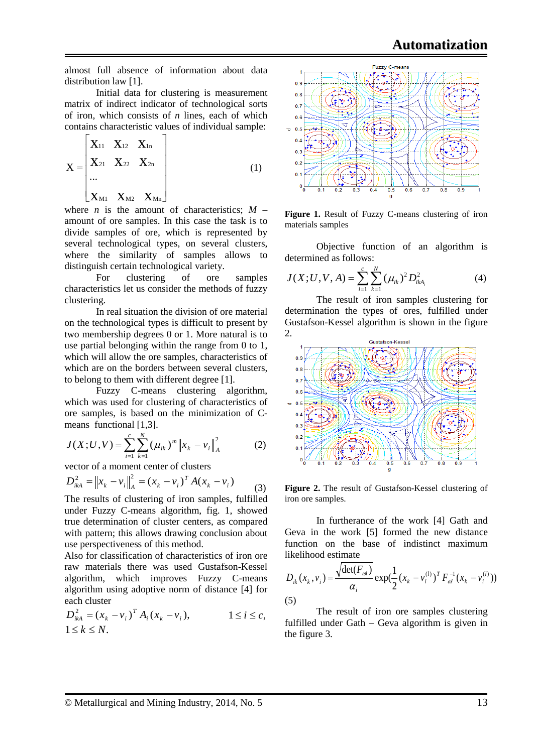almost full absence of information about data distribution law [1].

Initial data for clustering is measurement matrix of indirect indicator of technological sorts of iron, which consists of *n* lines, each of which contains characteristic values of individual sample:

$$
X = \begin{bmatrix} X_{11} & X_{12} & X_{1n} \\ X_{21} & X_{22} & X_{2n} \\ \cdots \\ X_{M1} & X_{M2} & X_{Mn} \end{bmatrix}
$$
 (1)

where *n* is the amount of characteristics;  $M$ amount of ore samples. In this case the task is to divide samples of ore, which is represented by several technological types, on several clusters, where the similarity of samples allows to distinguish certain technological variety.

For clustering of ore samples characteristics let us consider the methods of fuzzy clustering.

In real situation the division of ore material on the technological types is difficult to present by two membership degrees 0 or 1. More natural is to use partial belonging within the range from 0 to 1, which will allow the ore samples, characteristics of which are on the borders between several clusters, to belong to them with different degree [1].

Fuzzy C-means clustering algorithm, which was used for clustering of characteristics of ore samples, is based on the minimization of Cmeans functional [1,3].

$$
J(X;U,V) = \sum_{i=1}^{c} \sum_{k=1}^{N} (\mu_{ik})^{m} ||x_{k} - v_{i}||_{A}^{2}
$$
 (2)

vector of a moment center of clusters

$$
D_{ikA}^{2} = ||x_{k} - v_{i}||_{A}^{2} = (x_{k} - v_{i})^{T} A (x_{k} - v_{i})
$$
\n(3)

The results of clustering of iron samples, fulfilled under Fuzzy C-means algorithm, fig. 1, showed true determination of cluster centers, as compared with pattern; this allows drawing conclusion about use perspectiveness of this method.

Also for classification of characteristics of iron ore raw materials there was used Gustafson-Kessel algorithm, which improves Fuzzy C-means algorithm using adoptive norm of distance [4] for each cluster

$$
D_{ikA}^{2} = (x_k - v_i)^{T} A_i (x_k - v_i), \qquad 1 \le i \le c,
$$
  
 
$$
1 \le k \le N.
$$



Figure 1. Result of Fuzzy C-means clustering of iron materials samples

Objective function of an algorithm is determined as follows:

$$
J(X;U,V,A) = \sum_{i=1}^{c} \sum_{k=1}^{N} (\mu_{ik})^2 D_{ikA_i}^2
$$
 (4)

The result of iron samples clustering for determination the types of ores, fulfilled under Gustafson-Kessel algorithm is shown in the figure 2.



**Figure 2.** The result of Gustafson-Kessel clustering of iron ore samples.

In furtherance of the work [4] Gath and Geva in the work [5] formed the new distance function on the base of indistinct maximum likelihood estimate

$$
D_{ik}(x_k, v_i) = \frac{\sqrt{\det(F_{oi})}}{\alpha_i} \exp(\frac{1}{2}(x_k - v_i^{(l)})^T F_{oi}^{-1}(x_k - v_i^{(l)}))
$$
\n(5)

The result of iron ore samples clustering fulfilled under Gath – Geva algorithm is given in the figure 3.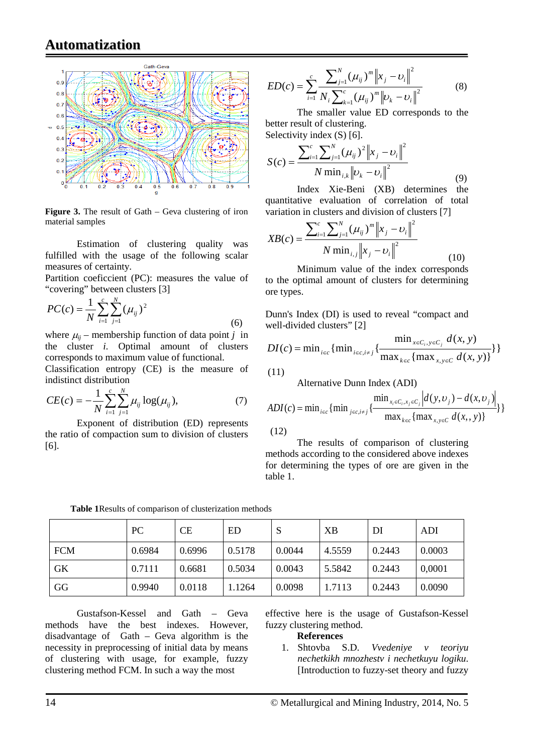## **Automatization**



**Figure 3.** The result of Gath – Geva clustering of iron material samples

Estimation of clustering quality was fulfilled with the usage of the following scalar measures of certainty.

Partition coeficcient (PC): measures the value of "covering" between clusters [3]

$$
PC(c) = \frac{1}{N} \sum_{i=1}^{c} \sum_{j=1}^{N} (\mu_{ij})^2
$$
 (6)

where  $\mu_{ii}$  – membership function of data point *j* in the cluster *i.* Optimal amount of clusters corresponds to maximum value of functional.

Classification entropy (CE) is the measure of indistinct distribution

$$
CE(c) = -\frac{1}{N} \sum_{i=1}^{c} \sum_{j=1}^{N} \mu_{ij} \log(\mu_{ij}),
$$
 (7)

Exponent of distribution (ED) represents the ratio of compaction sum to division of clusters [6].

$$
ED(c) = \sum_{i=1}^{c} \frac{\sum_{j=1}^{N} (\mu_{ij})^{m} \|x_j - v_i\|^2}{N_i \sum_{k=1}^{c} (\mu_{ij})^{m} \|v_k - v_i\|^2}
$$
(8)

The smaller value ED corresponds to the better result of clustering. Selectivity index (S) [6].

$$
S(c) = \frac{\sum_{i=1}^{c} \sum_{j=1}^{N} (\mu_{ij})^2 ||x_j - v_i||^2}{N \min_{i,k} ||v_k - v_i||^2}
$$
(9)

Index Xie-Beni (XB) determines the quantitative evaluation of correlation of total variation in clusters and division of clusters [7]

$$
XB(c) = \frac{\sum_{i=1}^{c} \sum_{j=1}^{N} (\mu_{ij})^{m} ||x_j - v_i||^2}{N \min_{i,j} ||x_j - v_i||^2}
$$
(10)

Minimum value of the index corresponds to the optimal amount of clusters for determining ore types.

Dunn's Index (DI) is used to reveal "compact and well-divided clusters" [2]

$$
DI(c) = \min_{i \in c} \{ \min_{i \in c, i \neq j} \{ \frac{\min_{x \in C_i, y \in C_j} d(x, y)}{\max_{k \in c} \{ \max_{x, y \in C} d(x, y) \}} \} \}
$$

 $(11)$ 

Alternative Dunn Index (ADI)

$$
ADI(c) = \min_{i \in c} \{ \min_{j \in c, i \neq j} \{ \frac{\min_{x_i \in C_i, x_j \in C_j} |d(y, v_j) - d(x, v_j)|}{\max_{k \in c} \{ \max_{x, y \in C} d(x, y) \}} \} \}
$$
(12)

The results of comparison of clustering methods according to the considered above indexes for determining the types of ore are given in the table 1.

|            | PC     | CE     | ED     | S      | XB     | DI     | ADI    |
|------------|--------|--------|--------|--------|--------|--------|--------|
| <b>FCM</b> | 0.6984 | 0.6996 | 0.5178 | 0.0044 | 4.5559 | 0.2443 | 0.0003 |
| GK         | 0.7111 | 0.6681 | 0.5034 | 0.0043 | 5.5842 | 0.2443 | 0,0001 |
| GG         | 0.9940 | 0.0118 | 1.1264 | 0.0098 | 1.7113 | 0.2443 | 0.0090 |

**Table 1**Results of comparison of clusterization methods

Gustafson-Kessel and Gath – Geva methods have the best indexes. However, disadvantage of Gath – Geva algorithm is the necessity in preprocessing of initial data by means of clustering with usage, for example, fuzzy clustering method FCM. In such a way the most

effective here is the usage of Gustafson-Kessel fuzzy clustering method.

#### **References**

1. Shtovba S.D. *Vvedeniye v teoriyu nechetkikh mnozhestv i nechetkuyu logiku*. [Introduction to fuzzy-set theory and fuzzy